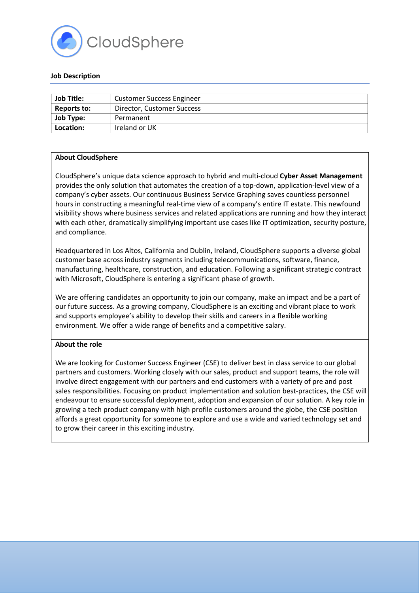

### **Job Description**

| <b>Job Title:</b> | <b>Customer Success Engineer</b> |
|-------------------|----------------------------------|
| Reports to:       | Director, Customer Success       |
| <b>Job Type:</b>  | Permanent                        |
| Location:         | Ireland or UK                    |

### **About CloudSphere**

CloudSphere's unique data science approach to hybrid and multi-cloud **Cyber Asset Management** provides the only solution that automates the creation of a top-down, application-level view of a company's cyber assets. Our continuous Business Service Graphing saves countless personnel hours in constructing a meaningful real-time view of a company's entire IT estate. This newfound visibility shows where business services and related applications are running and how they interact with each other, dramatically simplifying important use cases like IT optimization, security posture, and compliance.

Headquartered in Los Altos, California and Dublin, Ireland, CloudSphere supports a diverse global customer base across industry segments including telecommunications, software, finance, manufacturing, healthcare, construction, and education. Following a significant strategic contract with Microsoft, CloudSphere is entering a significant phase of growth.

We are offering candidates an opportunity to join our company, make an impact and be a part of our future success. As a growing company, CloudSphere is an exciting and vibrant place to work and supports employee's ability to develop their skills and careers in a flexible working environment. We offer a wide range of benefits and a competitive salary.

### **About the role**

We are looking for Customer Success Engineer (CSE) to deliver best in class service to our global partners and customers. Working closely with our sales, product and support teams, the role will involve direct engagement with our partners and end customers with a variety of pre and post sales responsibilities. Focusing on product implementation and solution best-practices, the CSE will endeavour to ensure successful deployment, adoption and expansion of our solution. A key role in growing a tech product company with high profile customers around the globe, the CSE position affords a great opportunity for someone to explore and use a wide and varied technology set and to grow their career in this exciting industry.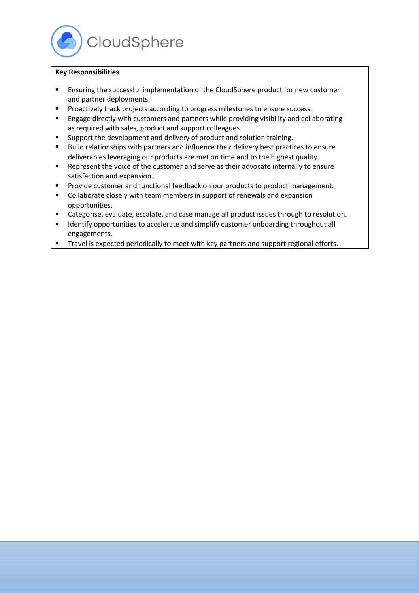

# **Key Responsibilities**

- § Ensuring the successful implementation of the CloudSphere product for new customer and partner deployments.
- Proactively track projects according to progress milestones to ensure success.
- Engage directly with customers and partners while providing visibility and collaborating as required with sales, product and support colleagues.
- Support the development and delivery of product and solution training.
- Build relationships with partners and influence their delivery best practices to ensure deliverables leveraging our products are met on time and to the highest quality.
- Represent the voice of the customer and serve as their advocate internally to ensure satisfaction and expansion.
- Provide customer and functional feedback on our products to product management.
- Collaborate closely with team members in support of renewals and expansion opportunities.
- Categorise, evaluate, escalate, and case manage all product issues through to resolution.
- Identify opportunities to accelerate and simplify customer onboarding throughout all engagements.
- Travel is expected periodically to meet with key partners and support regional efforts.